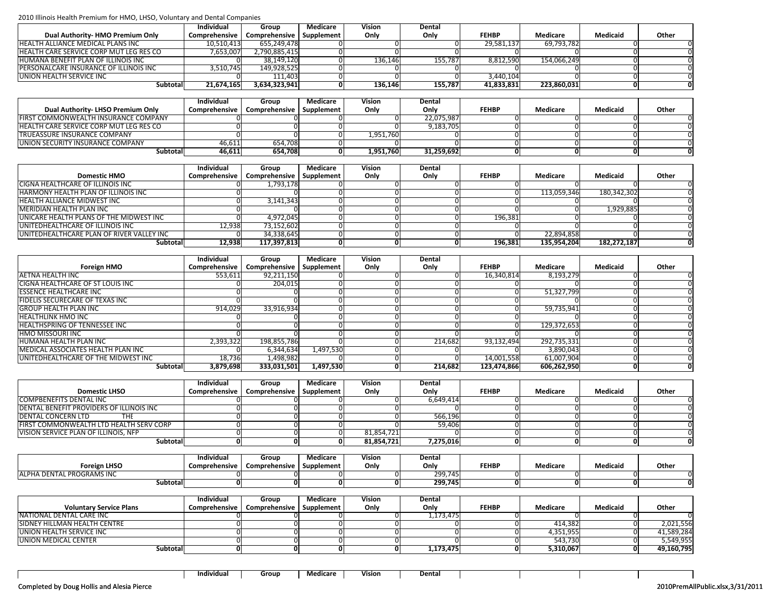|                                                | <b>Individual</b> | Group         | Medicare   | Vision  | Dental  |              |             |          |       |
|------------------------------------------------|-------------------|---------------|------------|---------|---------|--------------|-------------|----------|-------|
| Dual Authority- HMO Premium Only               | Comprehensive     | Comprehensive | Supplement | Only    | Only    | <b>FEHBP</b> | Medicare    | Medicaid | Other |
| <b>HEALTH ALLIANCE MEDICAL PLANS INC</b>       | 10,510,413        | 655.249.478   |            |         |         | 29,581,137   | 69,793,782  |          |       |
| <b>HEALTH CARE SERVICE CORP MUT LEG RES CO</b> | 7,653,007         | 2,790,885,415 |            |         |         |              |             |          |       |
| <b>HUMANA BENEFIT PLAN OF ILLINOIS INC</b>     |                   | 38,149,120    |            | 136.146 | 155.787 | 8,812,590    | 154.066.249 |          |       |
| PERSONALCARE INSURANCE OF ILLINOIS INC         | 3,510,745         | 149,928,525   |            |         |         |              |             |          |       |
| <b>UNION HEALTH SERVICE INC</b>                |                   | 111.403       |            |         |         | 3,440,104    |             |          |       |
| Subtotal                                       | 21,674,165        | 3,634,323,941 |            | 136.146 | 155,787 | 41,833,831   | 223,860,031 |          |       |

|                                                | Individual | Group                                      | Medicare | Vision    | Dental     |              |          |                 |       |
|------------------------------------------------|------------|--------------------------------------------|----------|-----------|------------|--------------|----------|-----------------|-------|
| Dual Authority- LHSO Premium Only              |            | Comprehensive   Comprehensive   Supplement |          | Only      | Only       | <b>FEHBP</b> | Medicare | <b>Medicaid</b> | Other |
| IFIRST COMMONWEALTH INSURANCE COMPANY          |            |                                            |          |           | 22.075.987 |              |          |                 |       |
| <b>HEALTH CARE SERVICE CORP MUT LEG RES CO</b> |            |                                            |          |           | 9,183,705  |              |          |                 |       |
| <b>TRUEASSURE INSURANCE COMPANY</b>            |            |                                            |          | 1,951,760 |            |              |          |                 |       |
| UNION SECURITY INSURANCE COMPANY               | 46,611     | 654.708                                    |          |           |            |              |          |                 |       |
| Subtotal                                       | 46,611     | 654,708                                    | 01       | 1,951,760 | 31,259,692 |              |          |                 |       |

|                                            | <b>Individual</b> | Group                      | Medicare | Vision | Dental |              |             |                 |       |
|--------------------------------------------|-------------------|----------------------------|----------|--------|--------|--------------|-------------|-----------------|-------|
| <b>Domestic HMO</b>                        | Comprehensive     | Comprehensive   Supplement |          | Only   | Only   | <b>FEHBP</b> | Medicare    | <b>Medicaid</b> | Other |
| CIGNA HEALTHCARE OF ILLINOIS INC           |                   | 1,793,178                  |          |        |        |              |             |                 |       |
| <b>HARMONY HEALTH PLAN OF ILLINOIS INC</b> |                   |                            |          |        |        |              | 113,059,346 | 180,342,302     |       |
| <b>HEALTH ALLIANCE MIDWEST INC</b>         |                   | 3,141,343                  |          |        |        |              |             |                 |       |
| <b>MERIDIAN HEALTH PLAN INC</b>            |                   |                            |          |        |        |              |             | 1,929,885       |       |
| UNICARE HEALTH PLANS OF THE MIDWEST INC    |                   | 4,972,045                  |          |        |        | 196,381      |             |                 |       |
| UNITEDHEALTHCARE OF ILLINOIS INC           | 12.938            | 73,152,602                 |          |        |        |              |             |                 |       |
| UNITEDHEALTHCARE PLAN OF RIVER VALLEY INC  |                   | 34,338,645                 |          |        |        |              | 22,894,858  |                 |       |
| Subtotal                                   | 12,938            | 117,397,813                |          |        |        | 196,381      | 135,954,204 | 182,272,187     |       |

|                                     | <b>Individual</b> | Group         | Medicare   | Vision | Dental  |              |             |          |       |
|-------------------------------------|-------------------|---------------|------------|--------|---------|--------------|-------------|----------|-------|
| <b>Foreign HMO</b>                  | Comprehensive     | Comprehensive | Supplement | Only   | Only    | <b>FEHBP</b> | Medicare    | Medicaid | Other |
| AETNA HEALTH INC                    | 553,611           | 92,211,150    |            |        |         | 16,340,814   | 8,193,279   |          |       |
| CIGNA HEALTHCARE OF ST LOUIS INC    |                   | 204,015       |            |        |         |              |             |          |       |
| <b>ESSENCE HEALTHCARE INC</b>       |                   |               |            |        |         |              | 51,327,799  |          |       |
| FIDELIS SECURECARE OF TEXAS INC     |                   |               |            |        |         |              |             |          |       |
| <b>GROUP HEALTH PLAN INC</b>        | 914,029           | 33,916,934    |            |        |         |              | 59,735,941  |          |       |
| <b>HEALTHLINK HMO INC</b>           |                   |               |            |        |         |              |             |          |       |
| HEALTHSPRING OF TENNESSEE INC       |                   |               |            |        |         |              | 129,372,653 |          |       |
| <b>HMO MISSOURI INC</b>             |                   |               |            |        |         |              |             |          |       |
| HUMANA HEALTH PLAN INC              | 2,393,322         | 198,855,786   |            |        | 214.682 | 93,132,494   | 292,735,331 |          |       |
| MEDICAL ASSOCIATES HEALTH PLAN INC  |                   | 6,344,634     | 1,497,530  |        |         |              | 3,890,043   |          |       |
| UNITEDHEALTHCARE OF THE MIDWEST INC | 18,736            | 1,498,982     |            |        |         | 14,001,558   | 61,007,904  |          |       |
| Subtotal                            | 3,879,698         | 333,031,501   | 1,497,530  |        | 214.682 | 123,474,866  | 606,262,950 |          |       |

|                                                  | <b>Individual</b> | Group                                      | Medicare | Vision     | Dental    |              |          |          |       |
|--------------------------------------------------|-------------------|--------------------------------------------|----------|------------|-----------|--------------|----------|----------|-------|
| <b>Domestic LHSO</b>                             |                   | Comprehensive   Comprehensive   Supplement |          | Only       | Only      | <b>FEHBP</b> | Medicare | Medicaid | Other |
| COMPBENEFITS DENTAL INC                          |                   |                                            |          |            | 6.649.414 |              |          |          |       |
| <b>DENTAL BENEFIT PROVIDERS OF ILLINOIS INC.</b> |                   |                                            |          |            |           |              |          |          |       |
| <b>DENTAL CONCERN LTD</b><br>THE                 |                   |                                            |          |            | 566.196   |              |          |          |       |
| <b>FIRST COMMONWEALTH LTD HEALTH SERV CORP</b>   |                   |                                            |          |            | 59.406    |              |          |          |       |
| VISION SERVICE PLAN OF ILLINOIS, NFP             |                   |                                            |          | 81,854,721 |           |              |          |          |       |
| <b>Subtotal</b>                                  |                   |                                            |          | 81,854,721 | 7,275,016 |              |          |          |       |

|                                          | Individual      | Group         | Medicare   | Vision | Dental  |              |          |                 |       |
|------------------------------------------|-----------------|---------------|------------|--------|---------|--------------|----------|-----------------|-------|
| <b>Foreign LHSO</b>                      | Comprehensive l | Comprehensive | Supplement | Onlv   | Only    | <b>FEHBP</b> | Medicare | <b>Medicaid</b> | Other |
| L PROGRAMS INC<br><b>JALPHA DENTAL I</b> |                 |               |            |        | 299,745 |              |          |                 |       |
| Subtotal                                 |                 |               |            |        | 299,745 |              | 0        |                 |       |

|                                | Individual    | Group                      | Medicare | Vision | Dental    |              |           |          |            |
|--------------------------------|---------------|----------------------------|----------|--------|-----------|--------------|-----------|----------|------------|
| <b>Voluntary Service Plans</b> | Comprehensive | Comprehensive   Supplement |          | Only   | Only      | <b>FEHBP</b> | Medicare  | Medicaid | Other      |
| INATIONAL DENTAL CARE INC      |               |                            |          |        | 1,173,475 |              |           |          |            |
| SIDNEY HILLMAN HEALTH CENTRE   |               |                            |          |        |           |              | 414,382   |          | 2,021,556  |
| UNION HEALTH SERVICE INC       |               |                            |          |        |           |              | 4,351,955 |          | 41,589,284 |
| UNION MEDICAL CENTER           |               |                            |          |        |           |              | 543,730   |          | 5,549,955  |
| Subtotal                       |               |                            |          |        | 1,173,475 |              | 5,310,067 |          | 49,160,795 |

**Individual** Group Medicare Vision Dental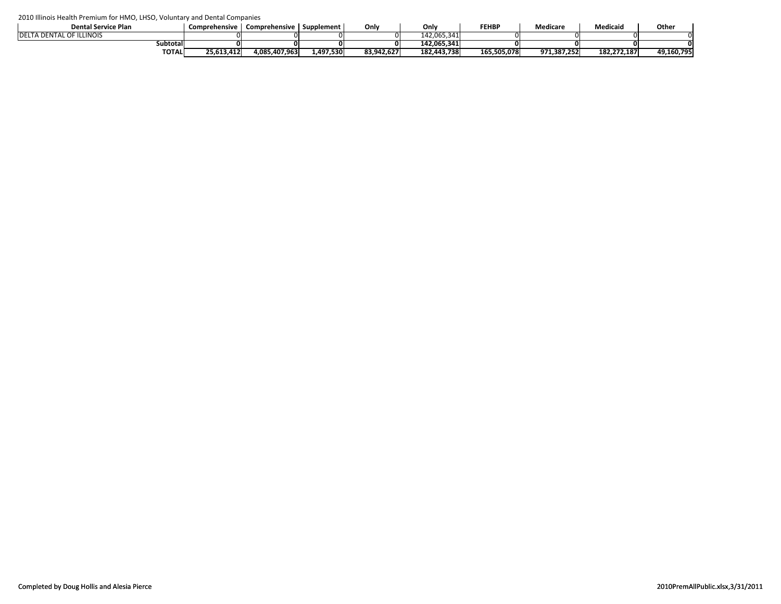| <b>Dental Service Plan</b>       | Comprehensive | Comprehensive   Supplement |           | Onlv       | Only        | <b>FEHBP</b> | Medicare    | <b>Medicaid</b> | Other      |
|----------------------------------|---------------|----------------------------|-----------|------------|-------------|--------------|-------------|-----------------|------------|
| <b>IDELTA DENTAL OF ILLINOIS</b> |               |                            |           |            | 142.065.341 |              |             |                 |            |
| subtotal                         |               |                            |           |            | 142.065.341 |              |             |                 |            |
| <b>TOTAL</b>                     | 25,613,412    | 4,085,407,963              | L,497,530 | 83,942,627 | 182,443,738 | 165,505,078  | 971,387,252 | 182,272,187     | 49,160,795 |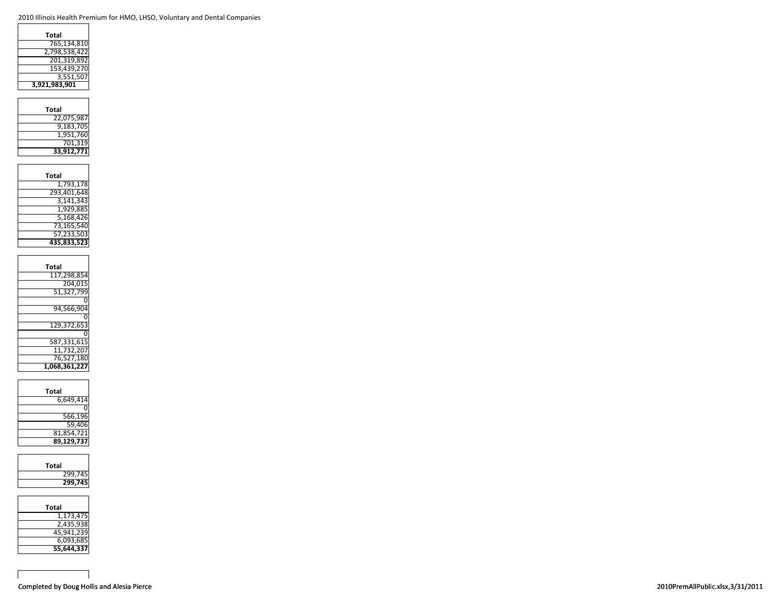| Total         |
|---------------|
| 765.134.810   |
| 2,798,538,422 |
| 201,319,892   |
| 153,439,270   |
| 3,551,507     |
| 3,921,983,901 |
|               |

| Total      |
|------------|
| 22,075,987 |
| 9,183,705  |
| 1,951,760  |
| 701,319    |
| 33,912,771 |

| Total       |
|-------------|
| 1,793,178   |
| 293,401,648 |
| 3,141,343   |
| 1.929.885   |
| 5,168,426   |
| 73,165,540  |
| 57,233,503  |
| 435.833.523 |

| Total         |
|---------------|
| 117.298.854   |
| 204.015       |
| 51,327,799    |
|               |
| 94.566.90     |
|               |
| 129.372.653   |
|               |
| 587,331,615   |
| 11.732.207    |
| 76,527,180    |
| 1,068,361,227 |
|               |

| Total      |  |
|------------|--|
| 6,649,414  |  |
|            |  |
| 566,196    |  |
| 59,406     |  |
| 81,854,721 |  |
| 89.129.737 |  |

| Total   |
|---------|
| 299,745 |
| 299,745 |
|         |

| Total      |
|------------|
| 1,173,475  |
| 2,435,938  |
| 45,941,239 |
| 6,093,685  |
| 55,644,337 |

 $\mathsf{r}$